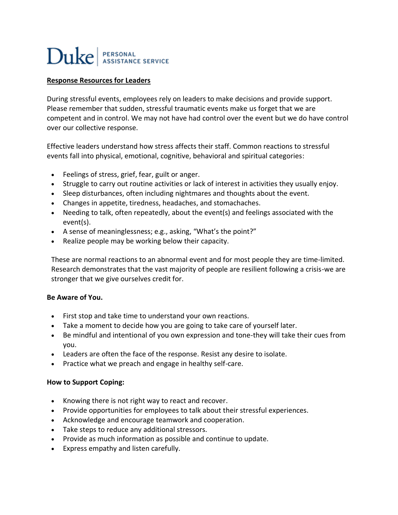# Duke | PERSONAL

## **Response Resources for Leaders**

During stressful events, employees rely on leaders to make decisions and provide support. Please remember that sudden, stressful traumatic events make us forget that we are competent and in control. We may not have had control over the event but we do have control over our collective response.

Effective leaders understand how stress affects their staff. Common reactions to stressful events fall into physical, emotional, cognitive, behavioral and spiritual categories:

- Feelings of stress, grief, fear, guilt or anger.
- Struggle to carry out routine activities or lack of interest in activities they usually enjoy.
- Sleep disturbances, often including nightmares and thoughts about the event.
- Changes in appetite, tiredness, headaches, and stomachaches.
- Needing to talk, often repeatedly, about the event(s) and feelings associated with the event(s).
- A sense of meaninglessness; e.g., asking, "What's the point?"
- Realize people may be working below their capacity.

These are normal reactions to an abnormal event and for most people they are time-limited. Research demonstrates that the vast majority of people are resilient following a crisis-we are stronger that we give ourselves credit for.

#### **Be Aware of You.**

- First stop and take time to understand your own reactions.
- Take a moment to decide how you are going to take care of yourself later.
- Be mindful and intentional of you own expression and tone-they will take their cues from you.
- Leaders are often the face of the response. Resist any desire to isolate.
- Practice what we preach and engage in healthy self-care.

#### **How to Support Coping:**

- Knowing there is not right way to react and recover.
- Provide opportunities for employees to talk about their stressful experiences.
- Acknowledge and encourage teamwork and cooperation.
- Take steps to reduce any additional stressors.
- Provide as much information as possible and continue to update.
- Express empathy and listen carefully.